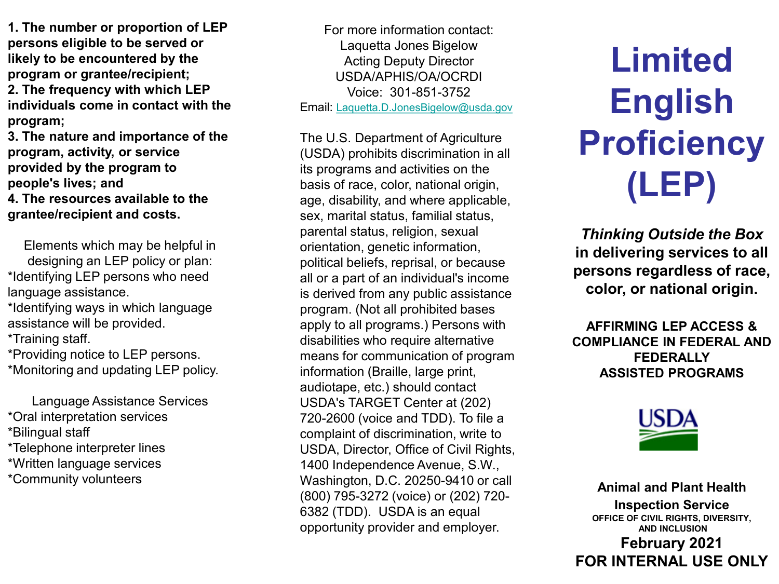**1. The number or proportion of LEP persons eligible to be served or likely to be encountered by the program or grantee/recipient; 2. The frequency with which LEP individuals come in contact with the program;**

**3. The nature and importance of the program, activity, or service provided by the program to people's lives; and 4. The resources available to the grantee/recipient and costs.**

Elements which may be helpful in designing an LEP policy or plan: \*Identifying LEP persons who need language assistance.

\*Identifying ways in which language assistance will be provided.

\*Training staff.

\*Providing notice to LEP persons. \*Monitoring and updating LEP policy.

Language Assistance Services \*Oral interpretation services \*Bilingual staff \*Telephone interpreter lines \*Written language services \*Community volunteers

For more information contact: Laquetta Jones Bigelow Acting Deputy Director USDA/APHIS/OA/OCRDI Voice: 301-851-3752 Email: [Laquetta.D.JonesBigelow@usda.gov](mailto:Laquetta.D.JonesBigelow@usda.gov)

The U.S. Department of Agriculture (USDA) prohibits discrimination in all its programs and activities on the basis of race, color, national origin, age, disability, and where applicable, sex, marital status, familial status, parental status, religion, sexual orientation, genetic information, political beliefs, reprisal, or because all or a part of an individual's income is derived from any public assistance program. (Not all prohibited bases apply to all programs.) Persons with disabilities who require alternative means for communication of program information (Braille, large print, audiotape, etc.) should contact USDA's TARGET Center at (202) 720-2600 (voice and TDD). To file a complaint of discrimination, write to USDA, Director, Office of Civil Rights, 1400 Independence Avenue, S.W., Washington, D.C. 20250-9410 or call (800) 795-3272 (voice) or (202) 720- 6382 (TDD). USDA is an equal opportunity provider and employer.

**Limited English Proficiency (LEP)**

*Thinking Outside the Box* **in delivering services to all persons regardless of race, color, or national origin.**

**AFFIRMING LEP ACCESS & COMPLIANCE IN FEDERAL AND FEDERALLY ASSISTED PROGRAMS**



**Animal and Plant Health Inspection Service OFFICE OF CIVIL RIGHTS, DIVERSITY, AND INCLUSION February 2021 FOR INTERNAL USE ONLY**